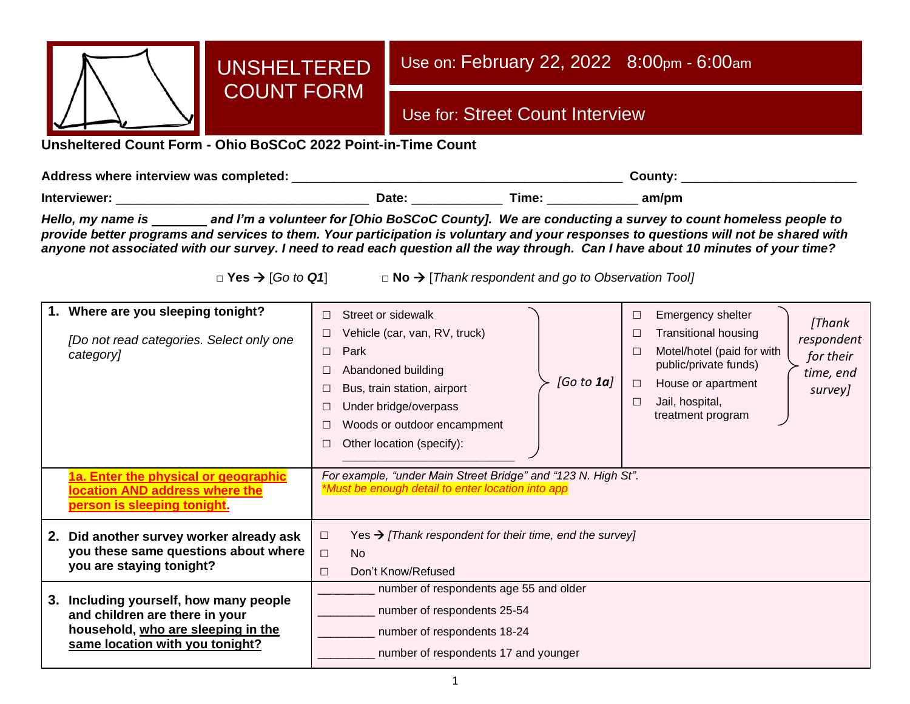

# UNSHELTERED COUNT FORM

# Use on: February 22, 2022 8:00pm - 6:00am

# Use for: Street Count Interview

**Unsheltered Count Form - Ohio BoSCoC 2022 Point-in-Time Count**

**Address where interview was completed:** \_\_\_\_\_\_\_\_\_\_\_\_\_\_\_\_\_\_\_\_\_\_\_\_\_\_\_\_\_\_\_\_\_\_\_\_\_\_\_\_\_\_\_\_\_\_\_ **County:** \_\_\_\_\_\_\_\_\_\_\_\_\_\_\_\_\_\_\_\_\_\_\_\_\_ **Interviewer:** \_\_\_\_\_\_\_\_\_\_\_\_\_\_\_\_\_\_\_\_\_\_\_\_\_\_\_\_\_\_\_\_\_\_\_\_ **Date:** \_\_\_\_\_\_\_\_\_\_\_\_\_ **Time:** \_\_\_\_\_\_\_\_\_\_\_\_\_ **am/pm**

*Hello, my name is and I'm a volunteer for [Ohio BoSCoC County]. We are conducting a survey to count homeless people to provide better programs and services to them. Your participation is voluntary and your responses to questions will not be shared with anyone not associated with our survey. I need to read each question all the way through. Can I have about 10 minutes of your time?* 

**□ Yes** → [*Go to Q1*] **□ No** → [*Thank respondent and go to Observation Tool]*

| 1.<br>Where are you sleeping tonight?<br>[Do not read categories. Select only one<br>category]                                                       | Street or sidewalk<br>П<br>Vehicle (car, van, RV, truck)<br>□<br>Park<br>$\Box$<br>Abandoned building<br>□<br>[Go to 1a]<br>Bus, train station, airport<br>Under bridge/overpass<br>□<br>Woods or outdoor encampment<br>Other location (specify):<br>□ | Emergency shelter<br>□<br>[Thank<br><b>Transitional housing</b><br>Е<br>respondent<br>Motel/hotel (paid for with<br>Е<br>for their<br>public/private funds)<br>time, end<br>House or apartment<br>$\Box$<br>survey]<br>Jail, hospital,<br>$\Box$<br>treatment program |  |  |  |  |
|------------------------------------------------------------------------------------------------------------------------------------------------------|--------------------------------------------------------------------------------------------------------------------------------------------------------------------------------------------------------------------------------------------------------|-----------------------------------------------------------------------------------------------------------------------------------------------------------------------------------------------------------------------------------------------------------------------|--|--|--|--|
| 1a. Enter the physical or geographic<br>location AND address where the<br><u>person is sleeping tonight.</u>                                         | For example, "under Main Street Bridge" and "123 N. High St".<br>*Must be enough detail to enter location into app                                                                                                                                     |                                                                                                                                                                                                                                                                       |  |  |  |  |
| Did another survey worker already ask<br>2.<br>you these same questions about where<br>you are staying tonight?                                      | Yes $\rightarrow$ [Thank respondent for their time, end the survey]<br>$\Box$<br>$\Box$<br>No<br>Don't Know/Refused<br>$\Box$                                                                                                                          |                                                                                                                                                                                                                                                                       |  |  |  |  |
| Including yourself, how many people<br>3.<br>and children are there in your<br>household, who are sleeping in the<br>same location with you tonight? | number of respondents age 55 and older<br>number of respondents 25-54<br>number of respondents 18-24<br>number of respondents 17 and younger                                                                                                           |                                                                                                                                                                                                                                                                       |  |  |  |  |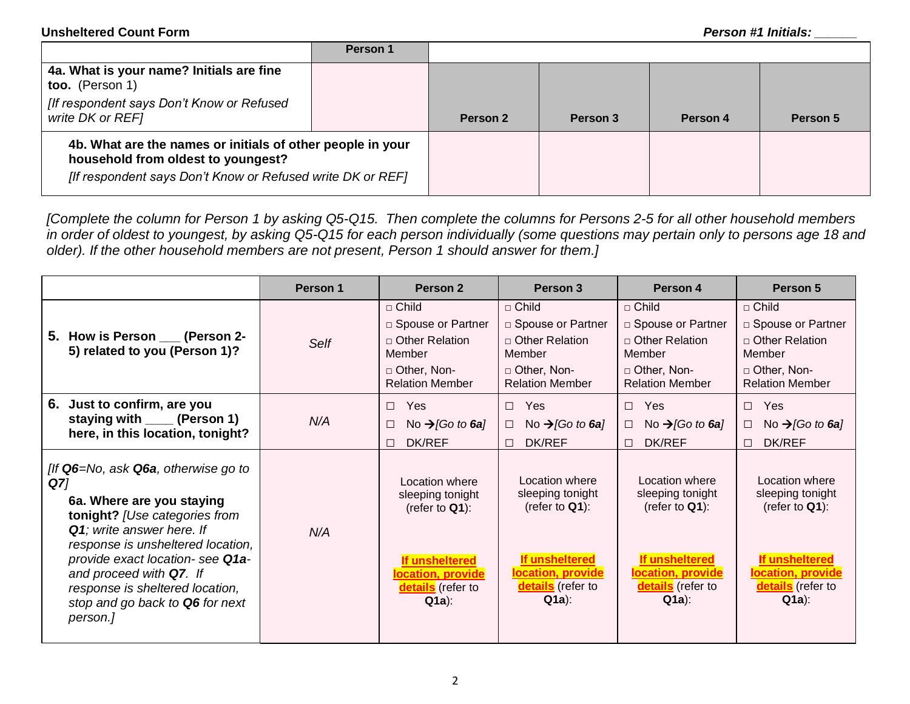|                                                                                                                                                                | Person 1 |          |          |          |          |
|----------------------------------------------------------------------------------------------------------------------------------------------------------------|----------|----------|----------|----------|----------|
| 4a. What is your name? Initials are fine<br>too. (Person 1)<br>If respondent says Don't Know or Refused<br>write DK or REF1                                    |          | Person 2 | Person 3 | Person 4 | Person 5 |
| 4b. What are the names or initials of other people in your<br>household from oldest to youngest?<br>[If respondent says Don't Know or Refused write DK or REF] |          |          |          |          |          |

*[Complete the column for Person 1 by asking Q5-Q15. Then complete the columns for Persons 2-5 for all other household members in order of oldest to youngest, by asking Q5-Q15 for each person individually (some questions may pertain only to persons age 18 and older). If the other household members are not present, Person 1 should answer for them.]*

|                                                                                                                                                                                                                                                                                                                                             | Person 1 | Person <sub>2</sub>                                                                                                            | Person 3                                                                                                                       | Person 4                                                                                                                       | Person 5                                                                                                                       |
|---------------------------------------------------------------------------------------------------------------------------------------------------------------------------------------------------------------------------------------------------------------------------------------------------------------------------------------------|----------|--------------------------------------------------------------------------------------------------------------------------------|--------------------------------------------------------------------------------------------------------------------------------|--------------------------------------------------------------------------------------------------------------------------------|--------------------------------------------------------------------------------------------------------------------------------|
| 5. How is Person ___ (Person 2-<br>5) related to you (Person 1)?                                                                                                                                                                                                                                                                            | Self     | $\sqcap$ Child<br>□ Spouse or Partner<br>□ Other Relation<br>Member<br>□ Other, Non-<br><b>Relation Member</b>                 | $\Box$ Child<br>□ Spouse or Partner<br>$\Box$ Other Relation<br>Member<br>□ Other, Non-<br><b>Relation Member</b>              | $\sqcap$ Child<br>□ Spouse or Partner<br>□ Other Relation<br>Member<br>□ Other, Non-<br><b>Relation Member</b>                 | $\Box$ Child<br>□ Spouse or Partner<br>$\Box$ Other Relation<br>Member<br>□ Other, Non-<br><b>Relation Member</b>              |
| Just to confirm, are you<br>6.<br>staying with _____ (Person 1)<br>here, in this location, tonight?                                                                                                                                                                                                                                         | N/A      | Yes<br>П.<br>No $\rightarrow$ [Go to 6a]<br>□<br>DK/REF<br>П.                                                                  | Yes<br>$\Box$<br>No $\rightarrow$ [Go to 6a]<br>$\Box$<br>DK/REF<br>$\Box$                                                     | Yes<br>$\Box$<br>No $\rightarrow$ [Go to 6a]<br>П.<br><b>DK/REF</b><br>П.                                                      | Yes<br>$\Box$<br>No $\rightarrow$ [Go to <b>6a</b> ]<br>$\Box$<br><b>DK/REF</b><br>$\Box$                                      |
| [If $Q6 = No$ , ask $Q6a$ , otherwise go to<br>Q7]<br>6a. Where are you staying<br>tonight? [Use categories from<br><b>Q1</b> ; write answer here. If<br>response is unsheltered location,<br>provide exact location- see Q1a-<br>and proceed with Q7. If<br>response is sheltered location,<br>stop and go back to Q6 for next<br>person.] | N/A      | Location where<br>sleeping tonight<br>(refer to $Q1$ ):<br>If unsheltered<br>location, provide<br>details (refer to<br>$Q1a$ : | Location where<br>sleeping tonight<br>(refer to $Q1$ ):<br>If unsheltered<br>location, provide<br>details (refer to<br>$Q1a$ : | Location where<br>sleeping tonight<br>(refer to $Q1$ ):<br>If unsheltered<br>location, provide<br>details (refer to<br>$Q1a$ : | Location where<br>sleeping tonight<br>(refer to $Q1$ ):<br>If unsheltered<br>location, provide<br>details (refer to<br>$Q1a$ : |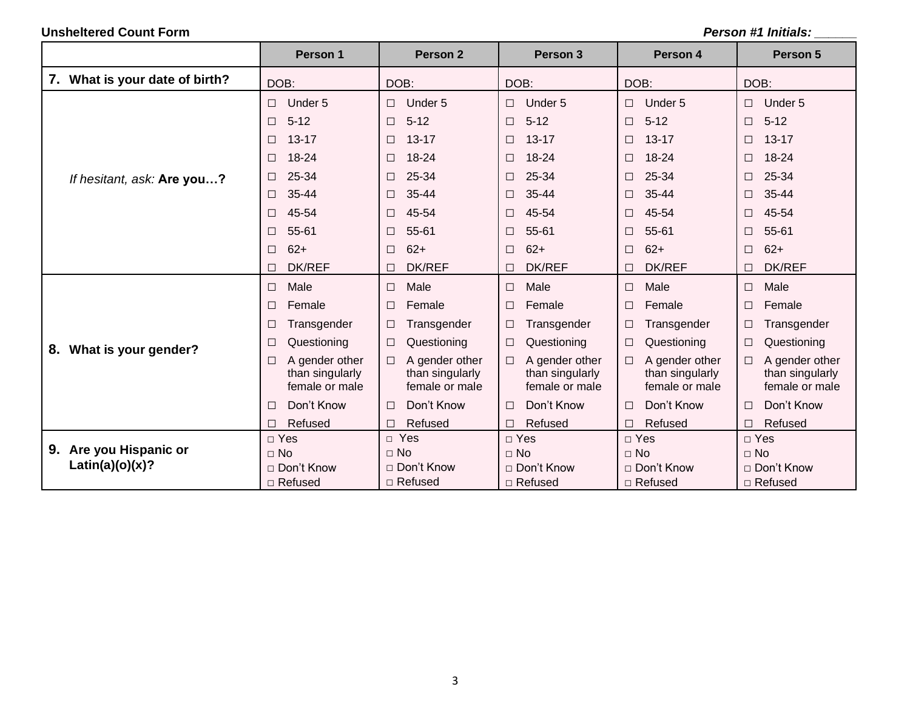|                                              | Person 1                                                 | Person 2                                                      | Person 3                                                      | Person 4                                                      | Person 5                                                 |
|----------------------------------------------|----------------------------------------------------------|---------------------------------------------------------------|---------------------------------------------------------------|---------------------------------------------------------------|----------------------------------------------------------|
| 7. What is your date of birth?               | DOB:                                                     | DOB:                                                          | DOB:                                                          | DOB:                                                          | DOB:                                                     |
|                                              | Under 5                                                  | Under 5                                                       | Under 5                                                       | Under 5                                                       | Under 5                                                  |
|                                              | $\Box$                                                   | $\Box$                                                        | $\Box$                                                        | $\Box$                                                        | $\Box$                                                   |
|                                              | $5 - 12$                                                 | $5 - 12$                                                      | $5 - 12$                                                      | $5 - 12$                                                      | $5 - 12$                                                 |
|                                              | $\Box$                                                   | $\Box$                                                        | $\Box$                                                        | $\Box$                                                        | $\Box$                                                   |
|                                              | $13 - 17$                                                | $13 - 17$                                                     | $13 - 17$                                                     | $13 - 17$                                                     | $13 - 17$                                                |
|                                              | $\Box$                                                   | $\Box$                                                        | $\Box$                                                        | $\Box$                                                        | □                                                        |
|                                              | 18-24                                                    | 18-24                                                         | 18-24                                                         | 18-24                                                         | 18-24                                                    |
|                                              | $\Box$                                                   | $\Box$                                                        | $\Box$                                                        | $\Box$                                                        | $\Box$                                                   |
| If hesitant, ask: Are you?                   | 25-34                                                    | 25-34                                                         | 25-34                                                         | 25-34                                                         | 25-34                                                    |
|                                              | $\Box$                                                   | $\Box$                                                        | $\Box$                                                        | $\Box$                                                        | □                                                        |
|                                              | 35-44                                                    | 35-44                                                         | 35-44                                                         | $35 - 44$                                                     | 35-44                                                    |
|                                              | П                                                        | $\Box$                                                        | □                                                             | $\Box$                                                        | □                                                        |
|                                              | 45-54                                                    | 45-54                                                         | 45-54                                                         | 45-54                                                         | 45-54                                                    |
|                                              | $\Box$                                                   | $\Box$                                                        | $\Box$                                                        | $\Box$                                                        | □                                                        |
|                                              | 55-61                                                    | 55-61                                                         | 55-61                                                         | 55-61                                                         | 55-61                                                    |
|                                              | $\Box$                                                   | $\Box$                                                        | $\Box$                                                        | $\Box$                                                        | $\Box$                                                   |
|                                              | $62+$                                                    | $62+$                                                         | $62+$                                                         | $62+$                                                         | $62+$                                                    |
|                                              | $\Box$                                                   | $\Box$                                                        | $\Box$                                                        | $\Box$                                                        | $\Box$                                                   |
|                                              | <b>DK/REF</b><br>$\Box$                                  | <b>DK/REF</b><br>$\Box$                                       | DK/REF<br>П                                                   | <b>DK/REF</b>                                                 | <b>DK/REF</b>                                            |
|                                              | Male                                                     | Male                                                          | Male                                                          | Male                                                          | Male                                                     |
|                                              | $\Box$                                                   | $\Box$                                                        | $\Box$                                                        | $\Box$                                                        | $\Box$                                                   |
|                                              | Female                                                   | Female                                                        | Female                                                        | $\Box$                                                        | Female                                                   |
|                                              | П                                                        | $\Box$                                                        | $\Box$                                                        | Female                                                        | □                                                        |
|                                              | Transgender<br>$\Box$                                    | Transgender<br>□                                              | Transgender<br>□                                              | Transgender<br>$\Box$                                         | Transgender                                              |
| 8. What is your gender?                      | Questioning                                              | Questioning                                                   | Questioning                                                   | Questioning                                                   | Questioning                                              |
|                                              | □                                                        | $\Box$                                                        | $\Box$                                                        | $\Box$                                                        | $\Box$                                                   |
|                                              | A gender other<br>□<br>than singularly<br>female or male | A gender other<br>$\Box$<br>than singularly<br>female or male | A gender other<br>$\Box$<br>than singularly<br>female or male | A gender other<br>$\Box$<br>than singularly<br>female or male | A gender other<br>□<br>than singularly<br>female or male |
|                                              | Don't Know<br>□                                          | Don't Know<br>$\Box$                                          | Don't Know<br>$\Box$                                          | Don't Know<br>$\Box$                                          | Don't Know<br>□                                          |
|                                              | Refused                                                  | Refused                                                       | Refused                                                       | Refused                                                       | Refused                                                  |
|                                              | $\Box$                                                   | $\Box$                                                        | $\Box$                                                        | $\Box$                                                        | $\Box$                                                   |
|                                              | $\Box$ Yes                                               | $\Box$ Yes                                                    | $\Box$ Yes                                                    | $\Box$ Yes                                                    | $\Box$ Yes                                               |
| Are you Hispanic or<br>9.<br>Latin(a)(o)(x)? | $\Box$ No                                                | $\Box$ No<br>□ Don't Know                                     | $\Box$ No<br>$\Box$ Don't Know                                | $\Box$ No                                                     | $\Box$ No                                                |
|                                              | □ Don't Know<br>□ Refused                                | □ Refused                                                     | □ Refused                                                     | $\Box$ Don't Know<br>□ Refused                                | □ Don't Know<br>$\Box$ Refused                           |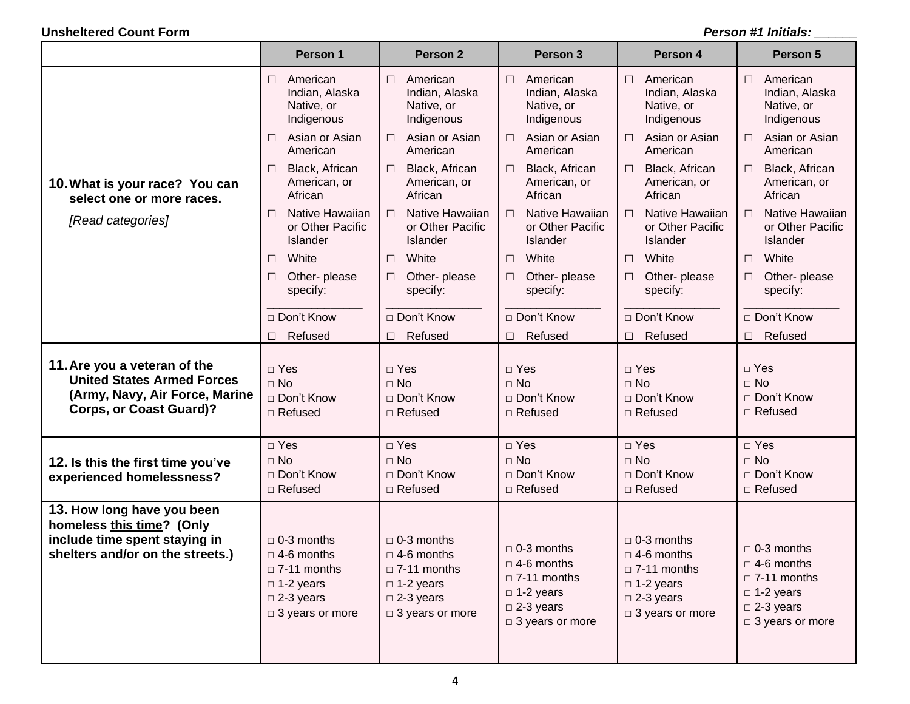|                                                                                                                              | Person 1                                                                                                                     | Person <sub>2</sub>                                                                                                               | Person 3                                                                                                                          | Person 4                                                                                                                          | Person 5                                                                                                                     |
|------------------------------------------------------------------------------------------------------------------------------|------------------------------------------------------------------------------------------------------------------------------|-----------------------------------------------------------------------------------------------------------------------------------|-----------------------------------------------------------------------------------------------------------------------------------|-----------------------------------------------------------------------------------------------------------------------------------|------------------------------------------------------------------------------------------------------------------------------|
|                                                                                                                              | American                                                                                                                     | American                                                                                                                          | $\Box$                                                                                                                            | $\Box$                                                                                                                            | $\Box$                                                                                                                       |
|                                                                                                                              | □                                                                                                                            | $\Box$                                                                                                                            | American                                                                                                                          | American                                                                                                                          | American                                                                                                                     |
|                                                                                                                              | Indian, Alaska                                                                                                               | Indian, Alaska                                                                                                                    | Indian, Alaska                                                                                                                    | Indian, Alaska                                                                                                                    | Indian, Alaska                                                                                                               |
|                                                                                                                              | Native, or                                                                                                                   | Native, or                                                                                                                        | Native, or                                                                                                                        | Native, or                                                                                                                        | Native, or                                                                                                                   |
|                                                                                                                              | Indigenous                                                                                                                   | Indigenous                                                                                                                        | Indigenous                                                                                                                        | Indigenous                                                                                                                        | Indigenous                                                                                                                   |
|                                                                                                                              | Asian or Asian                                                                                                               | Asian or Asian                                                                                                                    | Asian or Asian                                                                                                                    | Asian or Asian                                                                                                                    | Asian or Asian                                                                                                               |
|                                                                                                                              | □                                                                                                                            | $\Box$                                                                                                                            | $\Box$                                                                                                                            | $\Box$                                                                                                                            | $\Box$                                                                                                                       |
|                                                                                                                              | American                                                                                                                     | American                                                                                                                          | American                                                                                                                          | American                                                                                                                          | American                                                                                                                     |
| 10. What is your race? You can<br>select one or more races.<br>[Read categories]                                             | Black, African<br>$\Box$<br>American, or<br>African                                                                          | Black, African<br>$\Box$<br>American, or<br>African                                                                               | Black, African<br>$\Box$<br>American, or<br>African                                                                               | Black, African<br>$\Box$<br>American, or<br>African                                                                               | Black, African<br>$\Box$<br>American, or<br>African                                                                          |
|                                                                                                                              | Native Hawaiian<br>□<br>or Other Pacific<br>Islander                                                                         | Native Hawaiian<br>$\Box$<br>or Other Pacific<br>Islander                                                                         | Native Hawaiian<br>$\Box$<br>or Other Pacific<br>Islander                                                                         | Native Hawaiian<br>$\Box$<br>or Other Pacific<br>Islander                                                                         | Native Hawaiian<br>$\Box$<br>or Other Pacific<br><b>Islander</b>                                                             |
|                                                                                                                              | White                                                                                                                        | White                                                                                                                             | White                                                                                                                             | White                                                                                                                             | White                                                                                                                        |
|                                                                                                                              | $\Box$                                                                                                                       | $\Box$                                                                                                                            | $\Box$                                                                                                                            | $\Box$                                                                                                                            | $\Box$                                                                                                                       |
|                                                                                                                              | Other- please                                                                                                                | Other- please                                                                                                                     | Other- please                                                                                                                     | Other- please                                                                                                                     | Other- please                                                                                                                |
|                                                                                                                              | $\Box$                                                                                                                       | $\Box$                                                                                                                            | $\Box$                                                                                                                            | $\Box$                                                                                                                            | $\Box$                                                                                                                       |
|                                                                                                                              | specify:                                                                                                                     | specify:                                                                                                                          | specify:                                                                                                                          | specify:                                                                                                                          | specify:                                                                                                                     |
|                                                                                                                              | □ Don't Know                                                                                                                 | □ Don't Know                                                                                                                      | □ Don't Know                                                                                                                      | □ Don't Know                                                                                                                      | □ Don't Know                                                                                                                 |
|                                                                                                                              | Refused                                                                                                                      | Refused                                                                                                                           | Refused                                                                                                                           | Refused                                                                                                                           | Refused                                                                                                                      |
|                                                                                                                              | □                                                                                                                            | $\Box$                                                                                                                            | $\Box$                                                                                                                            | $\Box$                                                                                                                            | $\Box$                                                                                                                       |
| 11. Are you a veteran of the                                                                                                 | $\Box$ Yes                                                                                                                   | $\sqcap$ Yes                                                                                                                      | $\Box$ Yes                                                                                                                        | $\square$ Yes                                                                                                                     | $\Box$ Yes                                                                                                                   |
| <b>United States Armed Forces</b>                                                                                            | $\Box$ No                                                                                                                    | $\Box$ No                                                                                                                         | $\Box$ No                                                                                                                         | $\Box$ No                                                                                                                         | $\Box$ No                                                                                                                    |
| (Army, Navy, Air Force, Marine                                                                                               | □ Don't Know                                                                                                                 | □ Don't Know                                                                                                                      | □ Don't Know                                                                                                                      | □ Don't Know                                                                                                                      | □ Don't Know                                                                                                                 |
| <b>Corps, or Coast Guard)?</b>                                                                                               | □ Refused                                                                                                                    | $\Box$ Refused                                                                                                                    | □ Refused                                                                                                                         | $\Box$ Refused                                                                                                                    | $\Box$ Refused                                                                                                               |
| 12. Is this the first time you've<br>experienced homelessness?                                                               | $\square$ Yes<br>$\Box$ No<br>□ Don't Know<br>□ Refused                                                                      | $\Box$ Yes<br>$\Box$ No<br>□ Don't Know<br>□ Refused                                                                              | $\square$ Yes<br>$\Box$ No<br>□ Don't Know<br>$\Box$ Refused                                                                      | $\Box$ Yes<br>$\Box$ No<br>□ Don't Know<br>$\Box$ Refused                                                                         | $\Box$ Yes<br>$\Box$ No<br>□ Don't Know<br>$\Box$ Refused                                                                    |
| 13. How long have you been<br>homeless this time? (Only<br>include time spent staying in<br>shelters and/or on the streets.) | $\Box$ 0-3 months<br>$\Box$ 4-6 months<br>$\Box$ 7-11 months<br>$\Box$ 1-2 years<br>$\square$ 2-3 years<br>□ 3 years or more | $\Box$ 0-3 months<br>$\Box$ 4-6 months<br>$\Box$ 7-11 months<br>$\Box$ 1-2 years<br>$\square$ 2-3 years<br>$\Box$ 3 years or more | $\Box$ 0-3 months<br>$\Box$ 4-6 months<br>$\Box$ 7-11 months<br>$\Box$ 1-2 years<br>$\square$ 2-3 years<br>$\Box$ 3 years or more | $\Box$ 0-3 months<br>$\Box$ 4-6 months<br>$\Box$ 7-11 months<br>$\Box$ 1-2 years<br>$\square$ 2-3 years<br>$\Box$ 3 years or more | $\Box$ 0-3 months<br>$\Box$ 4-6 months<br>$\Box$ 7-11 months<br>$\Box$ 1-2 years<br>$\square$ 2-3 years<br>□ 3 years or more |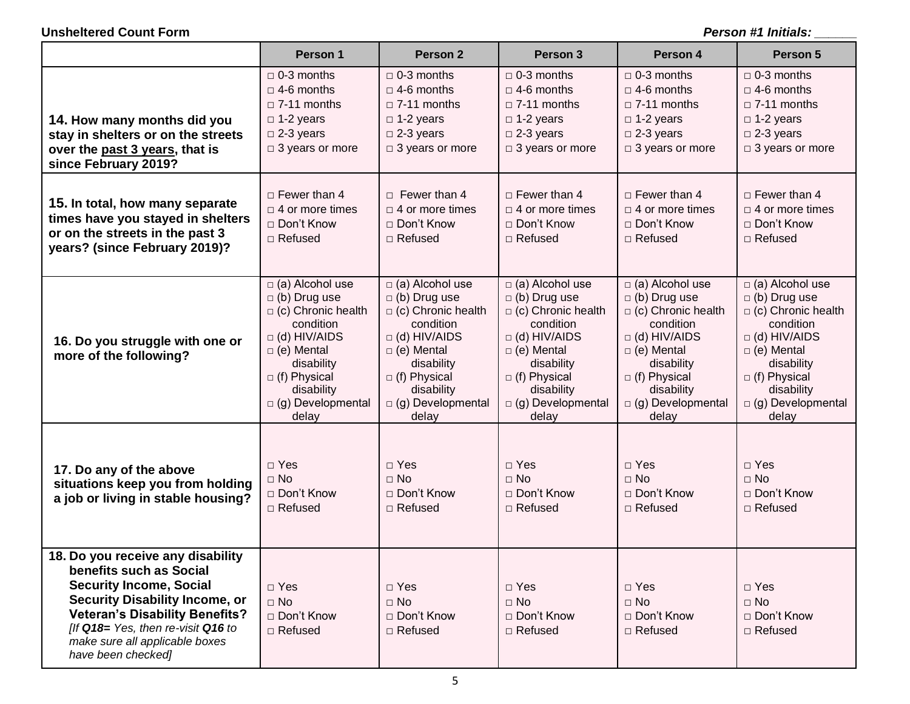|                                                                                                                                                                                                                                                                                | Person 1                                                                                                                                                                                                                    | Person 2                                                                                                                                                                                                            | Person 3                                                                                                                                                                                                                    | Person 4                                                                                                                                                                                                               | Person 5                                                                                                                                                                                                                    |
|--------------------------------------------------------------------------------------------------------------------------------------------------------------------------------------------------------------------------------------------------------------------------------|-----------------------------------------------------------------------------------------------------------------------------------------------------------------------------------------------------------------------------|---------------------------------------------------------------------------------------------------------------------------------------------------------------------------------------------------------------------|-----------------------------------------------------------------------------------------------------------------------------------------------------------------------------------------------------------------------------|------------------------------------------------------------------------------------------------------------------------------------------------------------------------------------------------------------------------|-----------------------------------------------------------------------------------------------------------------------------------------------------------------------------------------------------------------------------|
| 14. How many months did you<br>stay in shelters or on the streets<br>over the past 3 years, that is<br>since February 2019?                                                                                                                                                    | $\Box$ 0-3 months<br>$\Box$ 4-6 months<br>$\Box$ 7-11 months<br>$\Box$ 1-2 years<br>$\Box$ 2-3 years<br>□ 3 years or more                                                                                                   | $\Box$ 0-3 months<br>$\Box$ 4-6 months<br>$\Box$ 7-11 months<br>$\Box$ 1-2 years<br>$\Box$ 2-3 years<br>$\Box$ 3 years or more                                                                                      | $\Box$ 0-3 months<br>$\Box$ 4-6 months<br>$\Box$ 7-11 months<br>$\Box$ 1-2 years<br>$\Box$ 2-3 years<br>□ 3 years or more                                                                                                   | $\Box$ 0-3 months<br>$\Box$ 4-6 months<br>$\Box$ 7-11 months<br>$\Box$ 1-2 years<br>$\square$ 2-3 years<br>□ 3 years or more                                                                                           | $\Box$ 0-3 months<br>$\Box$ 4-6 months<br>$\Box$ 7-11 months<br>$\Box$ 1-2 years<br>$\Box$ 2-3 years<br>□ 3 years or more                                                                                                   |
| 15. In total, how many separate<br>times have you stayed in shelters<br>or on the streets in the past 3<br>years? (since February 2019)?                                                                                                                                       | $\Box$ Fewer than 4<br>$\Box$ 4 or more times<br>□ Don't Know<br>$\Box$ Refused                                                                                                                                             | $\Box$ Fewer than 4<br>$\Box$ 4 or more times<br>□ Don't Know<br>$\Box$ Refused                                                                                                                                     | $\Box$ Fewer than 4<br>$\Box$ 4 or more times<br>□ Don't Know<br>$\Box$ Refused                                                                                                                                             | $\Box$ Fewer than 4<br>$\Box$ 4 or more times<br>□ Don't Know<br>□ Refused                                                                                                                                             | $\Box$ Fewer than 4<br>$\Box$ 4 or more times<br>□ Don't Know<br>$\Box$ Refused                                                                                                                                             |
| 16. Do you struggle with one or<br>more of the following?                                                                                                                                                                                                                      | $\Box$ (a) Alcohol use<br>$\Box$ (b) Drug use<br>$\Box$ (c) Chronic health<br>condition<br>$\Box$ (d) HIV/AIDS<br>$\Box$ (e) Mental<br>disability<br>$\Box$ (f) Physical<br>disability<br>$\Box$ (g) Developmental<br>delay | $\Box$ (a) Alcohol use<br>$\Box$ (b) Drug use<br>$\Box$ (c) Chronic health<br>condition<br>$\Box$ (d) HIV/AIDS<br>$\Box$ (e) Mental<br>disability<br>$\Box$ (f) Physical<br>disability<br>g) Developmental<br>delay | $\Box$ (a) Alcohol use<br>$\Box$ (b) Drug use<br>$\Box$ (c) Chronic health<br>condition<br>$\Box$ (d) HIV/AIDS<br>$\Box$ (e) Mental<br>disability<br>$\Box$ (f) Physical<br>disability<br>$\Box$ (g) Developmental<br>delay | $\Box$ (a) Alcohol use<br>$\Box$ (b) Drug use<br>$\Box$ (c) Chronic health<br>condition<br>$\Box$ (d) HIV/AIDS<br>$\Box$ (e) Mental<br>disability<br>$\Box$ (f) Physical<br>disability<br>□ (g) Developmental<br>delay | $\Box$ (a) Alcohol use<br>$\Box$ (b) Drug use<br>$\Box$ (c) Chronic health<br>condition<br>$\Box$ (d) HIV/AIDS<br>$\Box$ (e) Mental<br>disability<br>$\Box$ (f) Physical<br>disability<br>$\Box$ (g) Developmental<br>delay |
| 17. Do any of the above<br>situations keep you from holding<br>a job or living in stable housing?                                                                                                                                                                              | $\Box$ Yes<br>$\Box$ No<br>□ Don't Know<br>□ Refused                                                                                                                                                                        | $\Box$ Yes<br>$\Box$ No<br>□ Don't Know<br>$\Box$ Refused                                                                                                                                                           | $\Box$ Yes<br>$\Box$ No<br>□ Don't Know<br>$\Box$ Refused                                                                                                                                                                   | $\Box$ Yes<br>$\Box$ No<br>□ Don't Know<br>□ Refused                                                                                                                                                                   | $\Box$ Yes<br>$\Box$ No<br>□ Don't Know<br>$\Box$ Refused                                                                                                                                                                   |
| 18. Do you receive any disability<br>benefits such as Social<br><b>Security Income, Social</b><br><b>Security Disability Income, or</b><br><b>Veteran's Disability Benefits?</b><br>[If Q18= Yes, then re-visit Q16 to<br>make sure all applicable boxes<br>have been checked] | $\Box$ Yes<br>$\Box$ No<br>□ Don't Know<br>$\Box$ Refused                                                                                                                                                                   | $\Box$ Yes<br>$\Box$ No<br>□ Don't Know<br>$\Box$ Refused                                                                                                                                                           | $\Box$ Yes<br>$\Box$ No<br>□ Don't Know<br>□ Refused                                                                                                                                                                        | $\Box$ Yes<br>$\Box$ No<br>□ Don't Know<br>□ Refused                                                                                                                                                                   | $\Box$ Yes<br>$\Box$ No<br>□ Don't Know<br>$\Box$ Refused                                                                                                                                                                   |